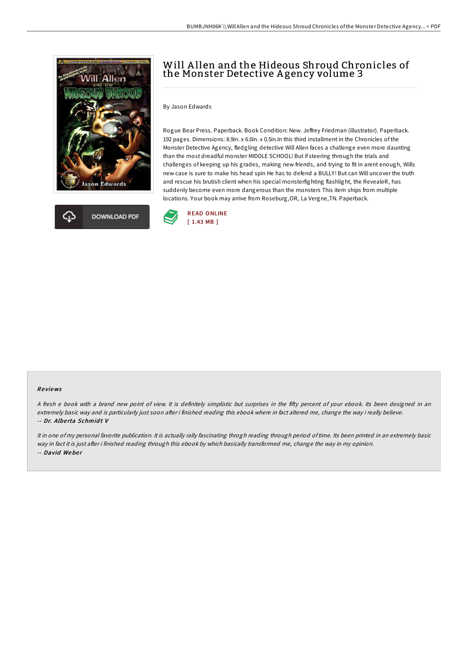



# Will Allen and the Hideous Shroud Chronicles of the Monster Detective Agency volume 3

By Jason Edwards

Rogue Bear Press. Paperback. Book Condition: New. Jeffrey Friedman (illustrator). Paperback. 192 pages. Dimensions: 8.9in. x 6.0in. x 0.5in.In this third installment in the Chronicles of the Monster Detective Agency, fledgling detective Will Allen faces a challenge even more daunting than the most dreadful monster MIDDLE SCHOOL! But if steering through the trials and challenges of keeping up his grades, making new friends, and trying to fit in arent enough, Wills new case is sure to make his head spin He has to defend a BULLY! But can Will uncover the truth and rescue his brutish client when his special monsterfighting flashlight, the RevealeR, has suddenly become even more dangerous than the monsters This item ships from multiple locations. Your book may arrive from Roseburg,OR, La Vergne,TN. Paperback.



### Re views

A fresh e book with a brand new point of view. It is definitely simplistic but surprises in the fifty percent of your ebook. Its been designed in an extremely basic way and is particularly just soon after i finished reading this ebook where in fact altered me, change the way i really believe. -- Dr. Albe rta Schmid t V

It in one of my personal favorite publication. It is actually rally fascinating throgh reading through period of time. Its been printed in an extremely basic way in fact it is just after i finished reading through this ebook by which basically transformed me, change the way in my opinion. -- David Weber